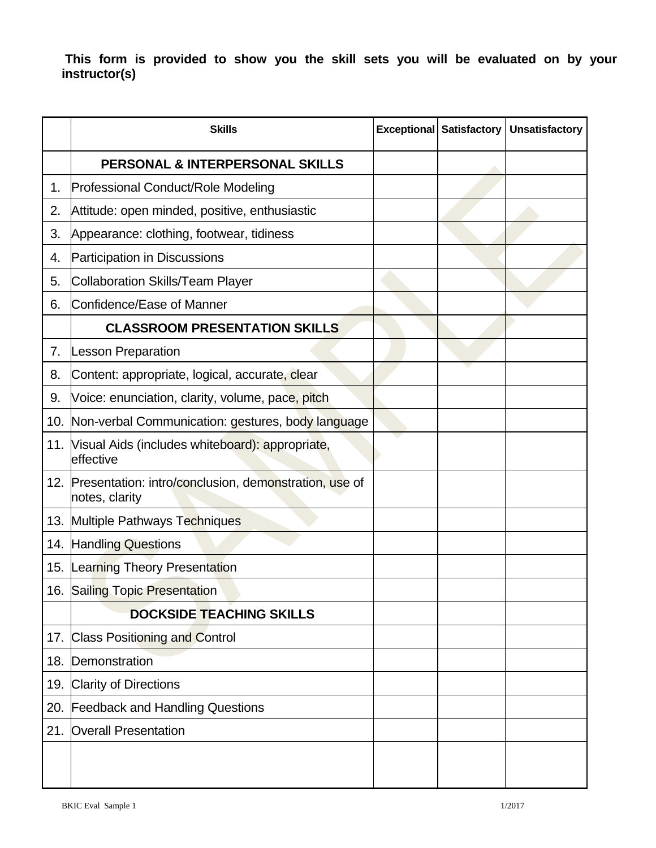**This form is provided to show you the skill sets you will be evaluated on by your instructor(s)** 

|     | <b>Skills</b>                                                           | <b>Exceptional Satisfactory</b> | <b>Unsatisfactory</b> |
|-----|-------------------------------------------------------------------------|---------------------------------|-----------------------|
|     | PERSONAL & INTERPERSONAL SKILLS                                         |                                 |                       |
| 1.  | Professional Conduct/Role Modeling                                      |                                 |                       |
| 2.  | Attitude: open minded, positive, enthusiastic                           |                                 |                       |
| 3.  | Appearance: clothing, footwear, tidiness                                |                                 |                       |
| 4.  | Participation in Discussions                                            |                                 |                       |
| 5.  | Collaboration Skills/Team Player                                        |                                 |                       |
| 6.  | Confidence/Ease of Manner                                               |                                 |                       |
|     | <b>CLASSROOM PRESENTATION SKILLS</b>                                    |                                 |                       |
| 7.  | <b>Lesson Preparation</b>                                               |                                 |                       |
| 8.  | Content: appropriate, logical, accurate, clear                          |                                 |                       |
| 9.  | Voice: enunciation, clarity, volume, pace, pitch                        |                                 |                       |
|     | 10. Non-verbal Communication: gestures, body language                   |                                 |                       |
| 11. | Visual Aids (includes whiteboard): appropriate,<br>effective            |                                 |                       |
| 12. | Presentation: intro/conclusion, demonstration, use of<br>notes, clarity |                                 |                       |
|     | 13. Multiple Pathways Techniques                                        |                                 |                       |
|     | 14. Handling Questions                                                  |                                 |                       |
|     | 15. Learning Theory Presentation                                        |                                 |                       |
|     | 16. Sailing Topic Presentation                                          |                                 |                       |
|     | <b>DOCKSIDE TEACHING SKILLS</b>                                         |                                 |                       |
|     | 17. Class Positioning and Control                                       |                                 |                       |
|     | 18. Demonstration                                                       |                                 |                       |
|     | 19. Clarity of Directions                                               |                                 |                       |
| 20. | <b>Feedback and Handling Questions</b>                                  |                                 |                       |
|     | 21. Overall Presentation                                                |                                 |                       |
|     |                                                                         |                                 |                       |